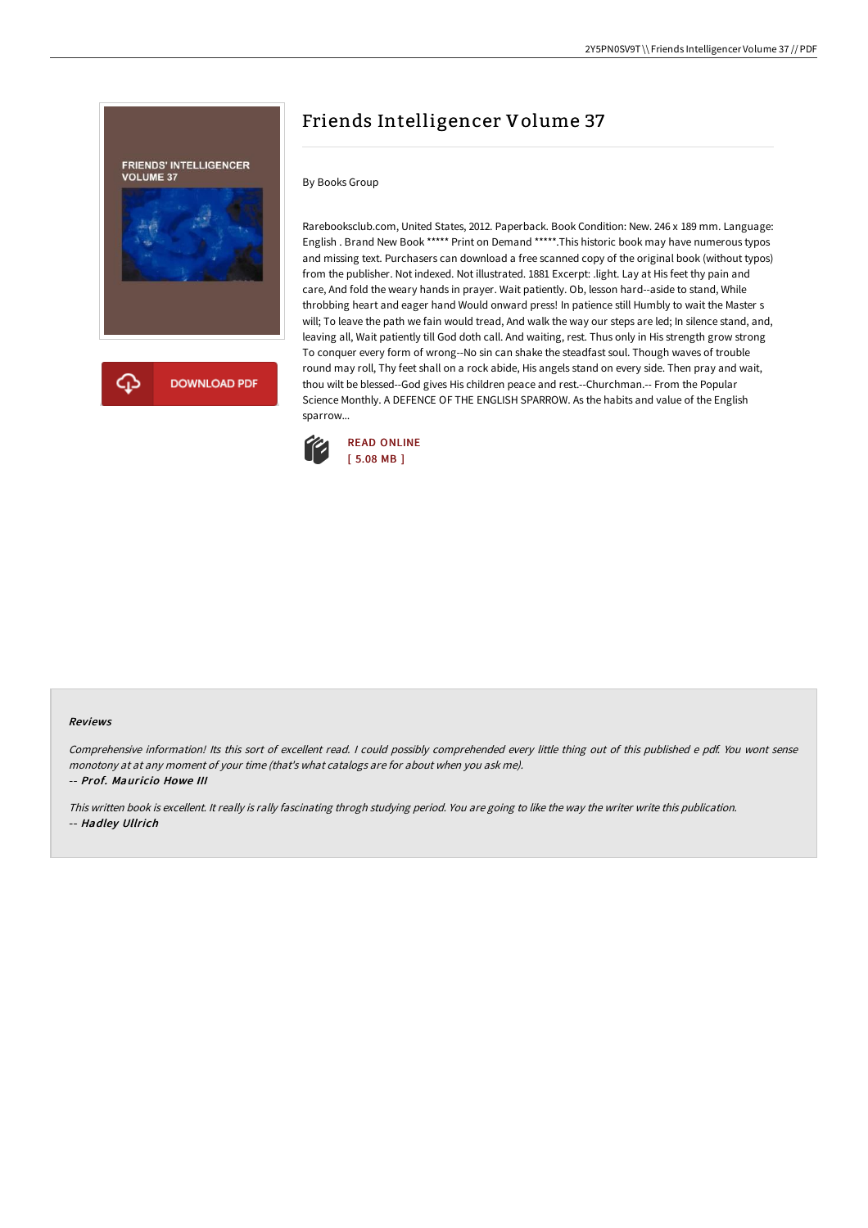

## Friends Intelligencer Volume 37

## By Books Group

Rarebooksclub.com, United States, 2012. Paperback. Book Condition: New. 246 x 189 mm. Language: English . Brand New Book \*\*\*\*\* Print on Demand \*\*\*\*\*.This historic book may have numerous typos and missing text. Purchasers can download a free scanned copy of the original book (without typos) from the publisher. Not indexed. Not illustrated. 1881 Excerpt: .light. Lay at His feet thy pain and care, And fold the weary hands in prayer. Wait patiently. Ob, lesson hard--aside to stand, While throbbing heart and eager hand Would onward press! In patience still Humbly to wait the Master s will; To leave the path we fain would tread, And walk the way our steps are led; In silence stand, and, leaving all, Wait patiently till God doth call. And waiting, rest. Thus only in His strength grow strong To conquer every form of wrong--No sin can shake the steadfast soul. Though waves of trouble round may roll, Thy feet shall on a rock abide, His angels stand on every side. Then pray and wait, thou wilt be blessed--God gives His children peace and rest.--Churchman.-- From the Popular Science Monthly. A DEFENCE OF THE ENGLISH SPARROW. As the habits and value of the English sparrow...



## Reviews

Comprehensive information! Its this sort of excellent read. <sup>I</sup> could possibly comprehended every little thing out of this published <sup>e</sup> pdf. You wont sense monotony at at any moment of your time (that's what catalogs are for about when you ask me). -- Prof. Mauricio Howe III

This written book is excellent. It really is rally fascinating throgh studying period. You are going to like the way the writer write this publication. -- Hadley Ullrich